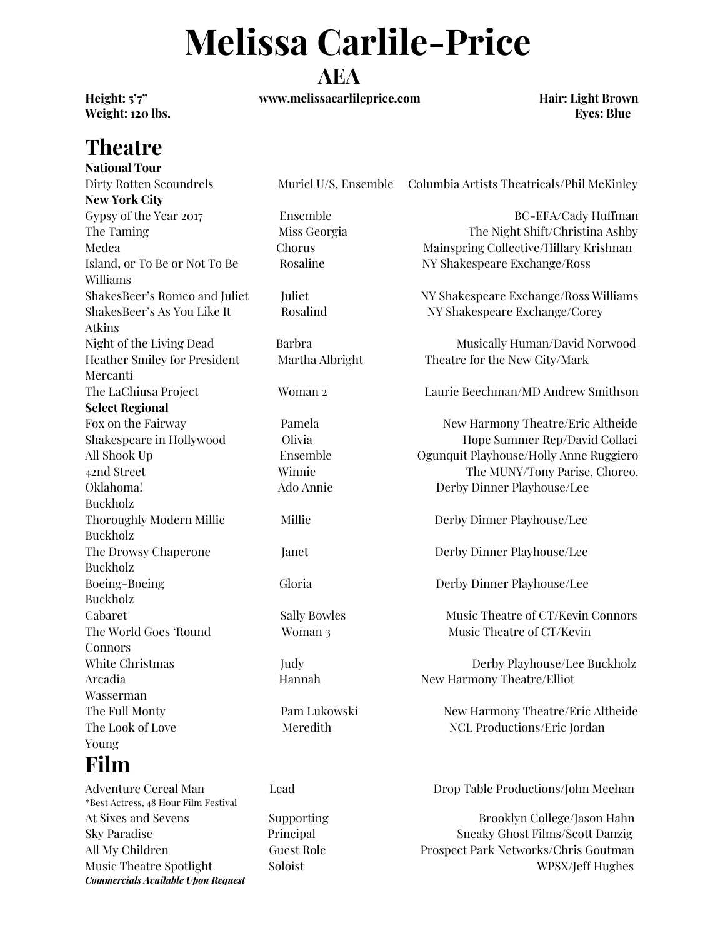# **Melissa Carlile-Price**

#### **AEA**

**Height: 5'7" www.melissacarlileprice.com Hair: Light Brown**

**Weight: 120 lbs. Eyes: Blue**

## **Theatre**

**National Tour New York City** Gypsy of the Year 2017 Ensemble BC-EFA/Cady Huffman The Taming The Night Shift/Christina Ashby Medea Chorus Mainspring Collective/Hillary Krishnan Island, or To Be or Not To Be Rosaline NY Shakespeare Exchange/Ross Williams ShakesBeer's Romeo and Juliet Juliet Juliet NY Shakespeare Exchange/Ross Williams ShakesBeer's As You Like It Rosalind NY Shakespeare Exchange/Corey Atkins Night of the Living Dead Barbra Barbra Musically Human/David Norwood Heather Smiley for President Martha Albright Theatre for the New City/Mark Mercanti The LaChiusa Project Woman 2 Laurie Beechman/MD Andrew Smithson **Select Regional** Fox on the Fairway Pamela Pamela New Harmony Theatre/Eric Altheide Shakespeare in Hollywood Colivia Colline Collection and Hope Summer Rep/David Collaci All Shook Up Ensemble Ogunquit Playhouse/Holly Anne Ruggiero 42nd Street Winnie The MUNY/Tony Parise, Choreo. Oklahoma! Ado Annie Derby Dinner Playhouse/Lee Buckholz Thoroughly Modern Millie Millie Millie Derby Dinner Playhouse/Lee Buckholz The Drowsy Chaperone Janet Derby Dinner Playhouse/Lee Buckholz Boeing-Boeing Gloria Derby Dinner Playhouse/Lee Buckholz Cabaret Sally Bowles Music Theatre of CT/Kevin Connors The World Goes 'Round Woman 3 Music Theatre of CT/Kevin Connors White Christmas Judy Judy Derby Playhouse/Lee Buckholz Arcadia Hannah New Harmony Theatre/Elliot Wasserman The Full Monty **Pam Lukowski** New Harmony Theatre/Eric Altheide The Look of Love Meredith NCL Productions/Eric Jordan Young

#### **Film**

\*Best Actress, 48 Hour Film Festival *Commercials Available Upon Request*

Dirty Rotten Scoundrels Muriel U/S, Ensemble Columbia Artists Theatricals/Phil McKinley

Adventure Cereal Man Lead Drop Table Productions/John Meehan

At Sixes and Sevens Supporting Supporting Brooklyn College/Jason Hahn Sky Paradise Principal Sneaky Ghost Films/Scott Danzig All My Children Guest Role Prospect Park Networks/Chris Goutman Music Theatre Spotlight Soloist Soloist Soloist WPSX/Jeff Hughes